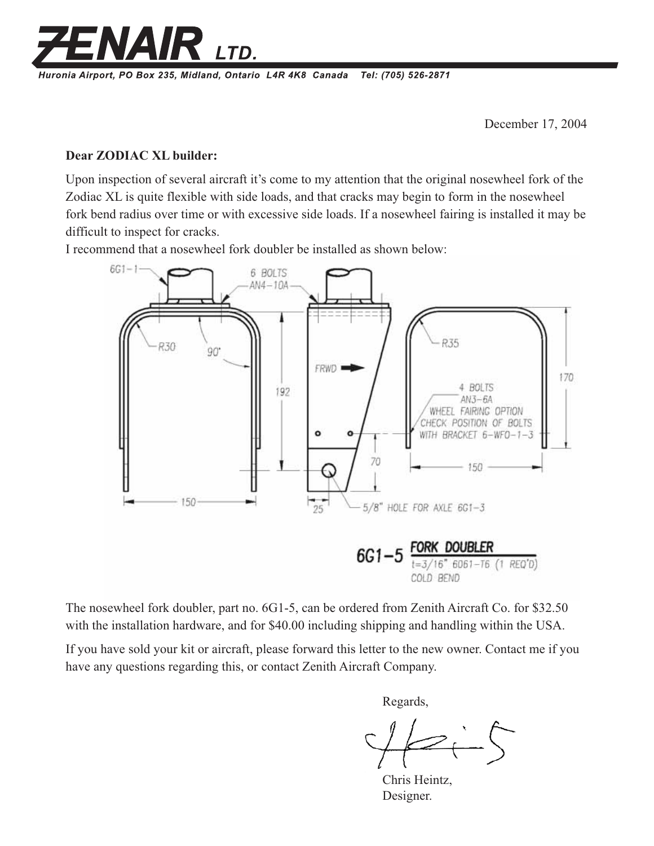

Huronia Airport, PO Box 235, Midland, Ontario L4R 4K8 Canada Tel: (705) 526-2871

December 17, 2004

## **Dear ZODIAC XL builder:**

Upon inspection of several aircraft it's come to my attention that the original nosewheel fork of the Zodiac XL is quite flexible with side loads, and that cracks may begin to form in the nosewheel fork bend radius over time or with excessive side loads. If a nosewheel fairing is installed it may be difficult to inspect for cracks.

I recommend that a nosewheel fork doubler be installed as shown below:



The nosewheel fork doubler, part no. 6G1-5, can be ordered from Zenith Aircraft Co. for \$32.50 with the installation hardware, and for \$40.00 including shipping and handling within the USA.

If you have sold your kit or aircraft, please forward this letter to the new owner. Contact me if you have any questions regarding this, or contact Zenith Aircraft Company.

Regards,

Chris Heintz, Designer.